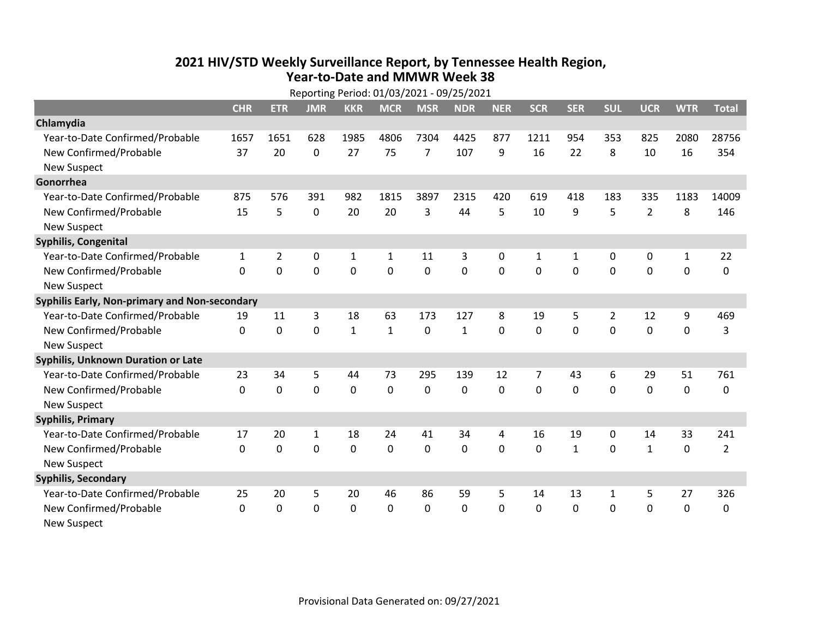## **2021 HIV /STD Weekly Surveillance Report, by Tennessee Health Region, Year‐to‐Date and MMWR Week 38** Reporting Period: 01/03/2021 ‐ 09/25/2021

| Reporting Period: 01/03/2021 - 09/25/2021     |              |                |              |              |              |                |              |              |            |              |              |                |              |                |
|-----------------------------------------------|--------------|----------------|--------------|--------------|--------------|----------------|--------------|--------------|------------|--------------|--------------|----------------|--------------|----------------|
|                                               | <b>CHR</b>   | <b>ETR</b>     | <b>JMR</b>   | <b>KKR</b>   | <b>MCR</b>   | <b>MSR</b>     | <b>NDR</b>   | <b>NER</b>   | <b>SCR</b> | <b>SER</b>   | <b>SUL</b>   | <b>UCR</b>     | <b>WTR</b>   | <b>Total</b>   |
| Chlamydia                                     |              |                |              |              |              |                |              |              |            |              |              |                |              |                |
| Year-to-Date Confirmed/Probable               | 1657         | 1651           | 628          | 1985         | 4806         | 7304           | 4425         | 877          | 1211       | 954          | 353          | 825            | 2080         | 28756          |
| New Confirmed/Probable                        | 37           | 20             | 0            | 27           | 75           | $\overline{7}$ | 107          | 9            | 16         | 22           | 8            | 10             | 16           | 354            |
| <b>New Suspect</b>                            |              |                |              |              |              |                |              |              |            |              |              |                |              |                |
| Gonorrhea                                     |              |                |              |              |              |                |              |              |            |              |              |                |              |                |
| Year-to-Date Confirmed/Probable               | 875          | 576            | 391          | 982          | 1815         | 3897           | 2315         | 420          | 619        | 418          | 183          | 335            | 1183         | 14009          |
| New Confirmed/Probable                        | 15           | 5              | $\mathbf{0}$ | 20           | 20           | 3              | 44           | 5            | 10         | 9            | 5            | $\overline{2}$ | 8            | 146            |
| <b>New Suspect</b>                            |              |                |              |              |              |                |              |              |            |              |              |                |              |                |
| Syphilis, Congenital                          |              |                |              |              |              |                |              |              |            |              |              |                |              |                |
| Year-to-Date Confirmed/Probable               | $\mathbf{1}$ | $\overline{2}$ | 0            | $\mathbf 1$  | $\mathbf{1}$ | 11             | 3            | $\mathbf{0}$ | 1          | $\mathbf{1}$ | 0            | 0              | $\mathbf{1}$ | 22             |
| New Confirmed/Probable                        | $\Omega$     | 0              | 0            | 0            | 0            | 0              | 0            | $\Omega$     | $\Omega$   | $\Omega$     | 0            | 0              | $\mathbf 0$  | 0              |
| <b>New Suspect</b>                            |              |                |              |              |              |                |              |              |            |              |              |                |              |                |
| Syphilis Early, Non-primary and Non-secondary |              |                |              |              |              |                |              |              |            |              |              |                |              |                |
| Year-to-Date Confirmed/Probable               | 19           | 11             | 3            | 18           | 63           | 173            | 127          | 8            | 19         | 5            | 2            | 12             | 9            | 469            |
| New Confirmed/Probable                        | $\Omega$     | $\overline{0}$ | 0            | $\mathbf{1}$ | $\mathbf{1}$ | $\mathbf 0$    | $\mathbf{1}$ | $\Omega$     | $\Omega$   | $\mathbf{0}$ | $\Omega$     | $\mathbf 0$    | $\mathbf 0$  | 3              |
| <b>New Suspect</b>                            |              |                |              |              |              |                |              |              |            |              |              |                |              |                |
| Syphilis, Unknown Duration or Late            |              |                |              |              |              |                |              |              |            |              |              |                |              |                |
| Year-to-Date Confirmed/Probable               | 23           | 34             | 5            | 44           | 73           | 295            | 139          | 12           | 7          | 43           | 6            | 29             | 51           | 761            |
| New Confirmed/Probable                        | $\mathbf{0}$ | $\mathbf{0}$   | 0            | 0            | 0            | $\Omega$       | $\Omega$     | $\Omega$     | $\Omega$   | $\Omega$     | $\Omega$     | 0              | $\mathbf 0$  | 0              |
| <b>New Suspect</b>                            |              |                |              |              |              |                |              |              |            |              |              |                |              |                |
| <b>Syphilis, Primary</b>                      |              |                |              |              |              |                |              |              |            |              |              |                |              |                |
| Year-to-Date Confirmed/Probable               | 17           | 20             | $\mathbf{1}$ | 18           | 24           | 41             | 34           | 4            | 16         | 19           | 0            | 14             | 33           | 241            |
| New Confirmed/Probable                        | $\Omega$     | 0              | 0            | 0            | 0            | 0              | 0            | $\Omega$     | $\Omega$   | $\mathbf{1}$ | 0            | $\mathbf{1}$   | $\mathbf 0$  | $\overline{2}$ |
| <b>New Suspect</b>                            |              |                |              |              |              |                |              |              |            |              |              |                |              |                |
| <b>Syphilis, Secondary</b>                    |              |                |              |              |              |                |              |              |            |              |              |                |              |                |
| Year-to-Date Confirmed/Probable               | 25           | 20             | 5            | 20           | 46           | 86             | 59           | 5            | 14         | 13           | $\mathbf{1}$ | 5              | 27           | 326            |
| New Confirmed/Probable                        | $\Omega$     | $\mathbf{0}$   | 0            | $\Omega$     | 0            | 0              | 0            | $\Omega$     | $\Omega$   | $\mathbf 0$  | 0            | 0              | $\mathbf 0$  | 0              |
| <b>New Suspect</b>                            |              |                |              |              |              |                |              |              |            |              |              |                |              |                |